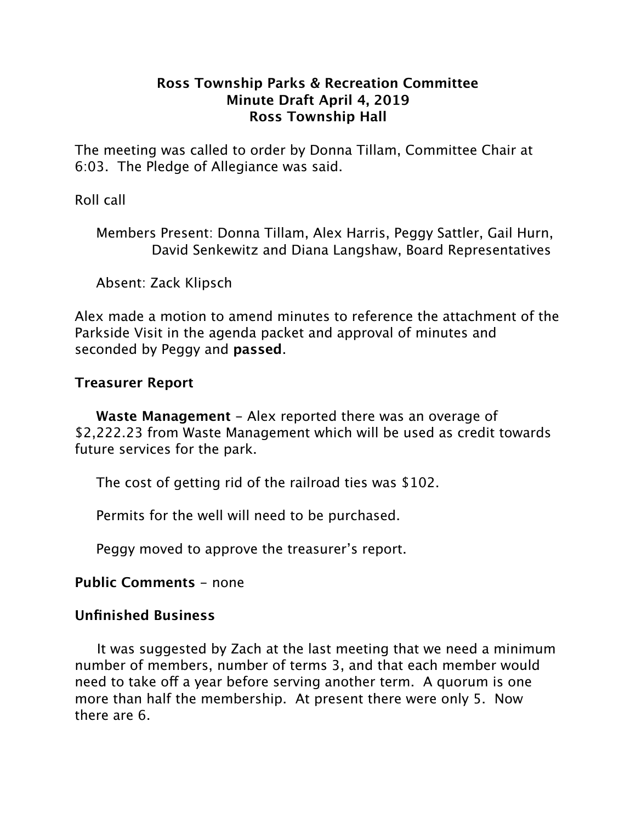### **Ross Township Parks & Recreation Committee Minute Draft April 4, 2019 Ross Township Hall**

The meeting was called to order by Donna Tillam, Committee Chair at 6:03. The Pledge of Allegiance was said.

Roll call

 Members Present: Donna Tillam, Alex Harris, Peggy Sattler, Gail Hurn, David Senkewitz and Diana Langshaw, Board Representatives

Absent: Zack Klipsch

Alex made a motion to amend minutes to reference the attachment of the Parkside Visit in the agenda packet and approval of minutes and seconded by Peggy and **passed**.

# **Treasurer Report**

 **Waste Management** - Alex reported there was an overage of \$2,222.23 from Waste Management which will be used as credit towards future services for the park.

The cost of getting rid of the railroad ties was \$102.

Permits for the well will need to be purchased.

Peggy moved to approve the treasurer's report.

### **Public Comments** - none

# **Unfinished Business**

It was suggested by Zach at the last meeting that we need a minimum number of members, number of terms 3, and that each member would need to take off a year before serving another term. A quorum is one more than half the membership. At present there were only 5. Now there are 6.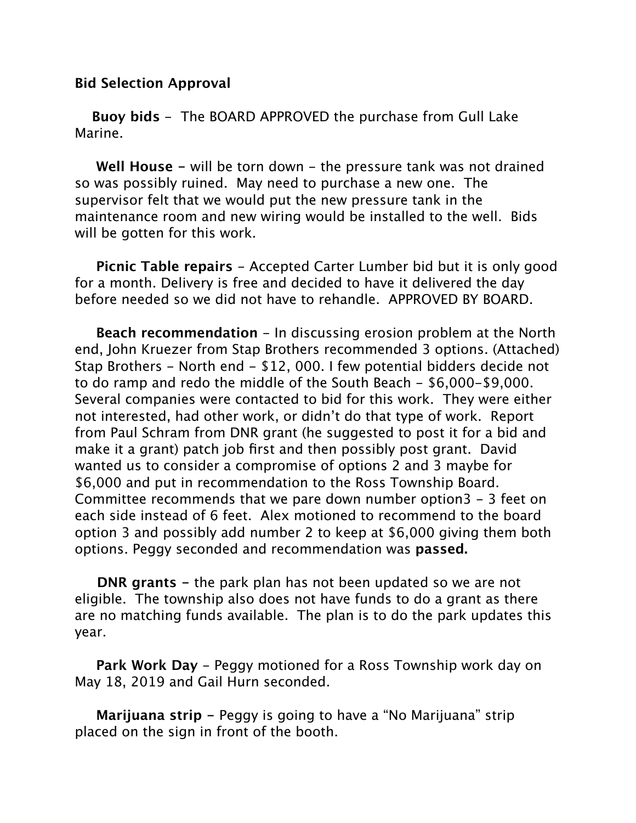#### **Bid Selection Approval**

 **Buoy bids** - The BOARD APPROVED the purchase from Gull Lake Marine.

 **Well House -** will be torn down - the pressure tank was not drained so was possibly ruined. May need to purchase a new one. The supervisor felt that we would put the new pressure tank in the maintenance room and new wiring would be installed to the well. Bids will be gotten for this work.

 **Picnic Table repairs** - Accepted Carter Lumber bid but it is only good for a month. Delivery is free and decided to have it delivered the day before needed so we did not have to rehandle. APPROVED BY BOARD.

**Beach recommendation** - In discussing erosion problem at the North end, John Kruezer from Stap Brothers recommended 3 options. (Attached) Stap Brothers - North end - \$12, 000. I few potential bidders decide not to do ramp and redo the middle of the South Beach - \$6,000-\$9,000. Several companies were contacted to bid for this work. They were either not interested, had other work, or didn't do that type of work. Report from Paul Schram from DNR grant (he suggested to post it for a bid and make it a grant) patch job first and then possibly post grant. David wanted us to consider a compromise of options 2 and 3 maybe for \$6,000 and put in recommendation to the Ross Township Board. Committee recommends that we pare down number option3 - 3 feet on each side instead of 6 feet. Alex motioned to recommend to the board option 3 and possibly add number 2 to keep at \$6,000 giving them both options. Peggy seconded and recommendation was **passed.**

 **DNR grants -** the park plan has not been updated so we are not eligible. The township also does not have funds to do a grant as there are no matching funds available. The plan is to do the park updates this year.

 **Park Work Day** - Peggy motioned for a Ross Township work day on May 18, 2019 and Gail Hurn seconded.

 **Marijuana strip -** Peggy is going to have a "No Marijuana" strip placed on the sign in front of the booth.